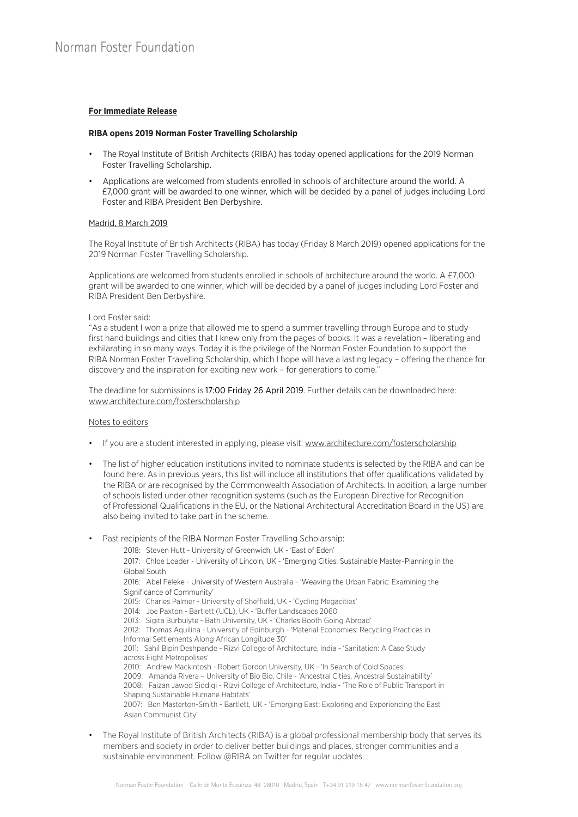## **For Immediate Release**

#### **RIBA opens 2019 Norman Foster Travelling Scholarship**

- The Royal Institute of British Architects (RIBA) has today opened applications for the 2019 Norman Foster Travelling Scholarship.
- Applications are welcomed from students enrolled in schools of architecture around the world. A £7,000 grant will be awarded to one winner, which will be decided by a panel of judges including Lord Foster and RIBA President Ben Derbyshire.

### Madrid, 8 March 2019

The Royal Institute of British Architects (RIBA) has today (Friday 8 March 2019) opened applications for the 2019 Norman Foster Travelling Scholarship.

Applications are welcomed from students enrolled in schools of architecture around the world. A £7,000 grant will be awarded to one winner, which will be decided by a panel of judges including Lord Foster and RIBA President Ben Derbyshire.

#### Lord Foster said:

"As a student I won a prize that allowed me to spend a summer travelling through Europe and to study first hand buildings and cities that I knew only from the pages of books. It was a revelation – liberating and exhilarating in so many ways. Today it is the privilege of the Norman Foster Foundation to support the RIBA Norman Foster Travelling Scholarship, which I hope will have a lasting legacy – offering the chance for discovery and the inspiration for exciting new work – for generations to come."

The deadline for submissions is 17:00 Friday 26 April 2019. Further details can be downloaded here: www.architecture.com/fosterscholarship

#### Notes to editors

- If you are a student interested in applying, please visit: www.architecture.com/fosterscholarship
- The list of higher education institutions invited to nominate students is selected by the RIBA and can be found here. As in previous years, this list will include all institutions that offer qualifications validated by the RIBA or are recognised by the Commonwealth Association of Architects. In addition, a large number of schools listed under other recognition systems (such as the European Directive for Recognition of Professional Qualifications in the EU, or the National Architectural Accreditation Board in the US) are also being invited to take part in the scheme.
- Past recipients of the RIBA Norman Foster Travelling Scholarship:
	- 2018: Steven Hutt University of Greenwich, UK 'East of Eden'

2017: Chloe Loader - University of Lincoln, UK - 'Emerging Cities: Sustainable Master-Planning in the Global South

2016: Abel Feleke - University of Western Australia - 'Weaving the Urban Fabric: Examining the Significance of Community'

- 2015: Charles Palmer University of Sheffield, UK 'Cycling Megacities'
- 2014: Joe Paxton Bartlett (UCL), UK 'Buffer Landscapes 2060
- 2013: Sigita Burbulyte Bath University, UK 'Charles Booth Going Abroad'
- 2012: Thomas Aquilina University of Edinburgh 'Material Economies: Recycling Practices in Informal Settlements Along African Longitude 30'

2011: Sahil Bipin Deshpande - Rizvi College of Architecture, India - 'Sanitation: A Case Study across Eight Metropolises'

2010: Andrew Mackintosh - Robert Gordon University, UK - 'In Search of Cold Spaces'

2009: Amanda Rivera – University of Bio Bio, Chile - 'Ancestral Cities, Ancestral Sustainability'

2008: Faizan Jawed Siddiqi - Rizvi College of Architecture, India - 'The Role of Public Transport in Shaping Sustainable Humane Habitats'

2007: Ben Masterton-Smith - Bartlett, UK - 'Emerging East: Exploring and Experiencing the East Asian Communist City'

• The Royal Institute of British Architects (RIBA) is a global professional membership body that serves its members and society in order to deliver better buildings and places, stronger communities and a sustainable environment. Follow @RIBA on Twitter for regular updates.